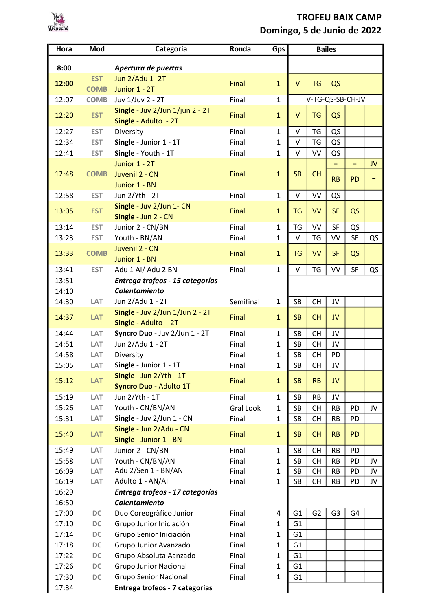

## TROFEU BAIX CAMP Domingo, 5 de Junio de 2022

| Hora  | Mod         | Categoria                                               | Ronda            | Gps          | <b>Bailes</b>    |                |                |           |          |
|-------|-------------|---------------------------------------------------------|------------------|--------------|------------------|----------------|----------------|-----------|----------|
| 8:00  |             | Apertura de puertas                                     |                  |              |                  |                |                |           |          |
|       | <b>EST</b>  | Jun 2/Adu 1-2T                                          |                  |              |                  |                |                |           |          |
| 12:00 | <b>COMB</b> | Junior 1 - 2T                                           | Final            | $\mathbf{1}$ | $\mathsf{V}$     | <b>TG</b>      | QS             |           |          |
| 12:07 | <b>COMB</b> | Juv 1/Juv 2 - 2T                                        | Final            | $\mathbf{1}$ | V-TG-QS-SB-CH-JV |                |                |           |          |
| 12:20 | <b>EST</b>  | Single - Juv 2/Jun 1/jun 2 - 2T<br>Single - Adulto - 2T | Final            | $\mathbf{1}$ | V                | <b>TG</b>      | QS             |           |          |
| 12:27 | <b>EST</b>  | Diversity                                               | Final            | $\mathbf{1}$ | V                | TG             | QS             |           |          |
| 12:34 | <b>EST</b>  | Single - Junior 1 - 1T                                  | Final            | $\mathbf{1}$ | $\vee$           | <b>TG</b>      | QS             |           |          |
| 12:41 | <b>EST</b>  | Single - Youth - 1T                                     | Final            | $\mathbf{1}$ | V                | VV             | QS             |           |          |
|       |             | Junior 1 - 2T                                           |                  |              |                  |                | $=$            | $=$       | JV       |
| 12:48 | <b>COMB</b> | Juvenil 2 - CN                                          | Final            | $\mathbf{1}$ | <b>SB</b>        | <b>CH</b>      |                |           |          |
|       |             | Junior 1 - BN                                           |                  |              |                  |                | <b>RB</b>      | <b>PD</b> | $\equiv$ |
| 12:58 | <b>EST</b>  | Jun 2/Yth - 2T                                          | Final            | $\mathbf{1}$ | $\mathsf{V}$     | VV             | QS             |           |          |
| 13:05 | <b>EST</b>  | Single - Juv 2/Jun 1- CN                                | <b>Final</b>     | $\mathbf{1}$ | <b>TG</b>        | VV             | <b>SF</b>      | QS        |          |
|       |             | Single - Jun 2 - CN                                     |                  |              |                  |                |                |           |          |
| 13:14 | <b>EST</b>  | Junior 2 - CN/BN                                        | Final            | $\mathbf{1}$ | TG               | VV             | SF             | QS        |          |
| 13:23 | <b>EST</b>  | Youth - BN/AN                                           | Final            | $\mathbf{1}$ | $\vee$           | TG             | VV             | <b>SF</b> | QS       |
| 13:33 | <b>COMB</b> | Juvenil 2 - CN<br>Junior 1 - BN                         | Final            | $\mathbf{1}$ | <b>TG</b>        | VV             | <b>SF</b>      | QS        |          |
| 13:41 | <b>EST</b>  | Adu 1 Al/ Adu 2 BN                                      | Final            | $\mathbf{1}$ | V                | TG             | VV             | SF        | QS       |
| 13:51 |             | Entrega trofeos - 15 categorías                         |                  |              |                  |                |                |           |          |
| 14:10 |             | <b>Calentamiento</b>                                    |                  |              |                  |                |                |           |          |
| 14:30 | LAT         | Jun 2/Adu 1 - 2T                                        | Semifinal        | $\mathbf{1}$ | <b>SB</b>        | <b>CH</b>      | JV             |           |          |
| 14:37 | <b>LAT</b>  | Single - Juv 2/Jun 1/Jun 2 - 2T<br>Single - Adulto - 2T | Final            | $\mathbf{1}$ | <b>SB</b>        | <b>CH</b>      | JV             |           |          |
| 14:44 | LAT         | Syncro Duo - Juv 2/Jun 1 - 2T                           | Final            | $\mathbf{1}$ | <b>SB</b>        | <b>CH</b>      | JV             |           |          |
| 14:51 | LAT         | Jun 2/Adu 1 - 2T                                        | Final            | $\mathbf{1}$ | <b>SB</b>        | <b>CH</b>      | JV             |           |          |
| 14:58 | LAT         | Diversity                                               | Final            | $\mathbf{1}$ | <b>SB</b>        | <b>CH</b>      | PD             |           |          |
| 15:05 | LAT         | Single - Junior 1 - 1T                                  | Final            | 1            | SB               | <b>CH</b>      | JV             |           |          |
| 15:12 | <b>LAT</b>  | Single - Jun 2/Yth - 1T                                 | Final            | $\mathbf{1}$ | <b>SB</b>        | <b>RB</b>      | JV             |           |          |
|       |             | Syncro Duo - Adulto 1T                                  |                  |              |                  |                |                |           |          |
| 15:19 | LAT         | Jun 2/Yth - 1T                                          | Final            | 1            | <b>SB</b>        | RB             | JV             |           |          |
| 15:26 | LAT         | Youth - CN/BN/AN                                        | <b>Gral Look</b> | $\mathbf{1}$ | <b>SB</b>        | <b>CH</b>      | <b>RB</b>      | PD        | JV       |
| 15:31 | LAT         | Single - Juv 2/Jun 1 - CN                               | Final            | $\mathbf{1}$ | SB               | CН             | <b>RB</b>      | PD        |          |
| 15:40 | <b>LAT</b>  | Single - Jun 2/Adu - CN<br>Single - Junior 1 - BN       | Final            | $\mathbf{1}$ | <b>SB</b>        | <b>CH</b>      | <b>RB</b>      | <b>PD</b> |          |
| 15:49 | LAT         | Junior 2 - CN/BN                                        | Final            | $\mathbf{1}$ | <b>SB</b>        | <b>CH</b>      | <b>RB</b>      | PD        |          |
| 15:58 | LAT         | Youth - CN/BN/AN                                        | Final            | $\mathbf{1}$ | SB               | <b>CH</b>      | <b>RB</b>      | PD        | JV       |
| 16:09 | LAT         | Adu 2/Sen 1 - BN/AN                                     | Final            | $\mathbf{1}$ | SB               | <b>CH</b>      | <b>RB</b>      | PD        | JV       |
| 16:19 | LAT         | Adulto 1 - AN/AI                                        | Final            | $\mathbf{1}$ | SB               | <b>CH</b>      | <b>RB</b>      | PD        | JV       |
| 16:29 |             | Entrega trofeos - 17 categorías                         |                  |              |                  |                |                |           |          |
| 16:50 |             | <b>Calentamiento</b>                                    |                  |              |                  |                |                |           |          |
| 17:00 | DC          | Duo Coreogràfico Junior                                 | Final            | 4            | G1               | G <sub>2</sub> | G <sub>3</sub> | G4        |          |
| 17:10 | DC          | Grupo Junior Iniciación                                 | Final            | 1            | G <sub>1</sub>   |                |                |           |          |
| 17:14 | DC          | Grupo Senior Iniciación                                 | Final            | $\mathbf{1}$ | G <sub>1</sub>   |                |                |           |          |
| 17:18 | DC          | Grupo Junior Avanzado                                   | Final            | $\mathbf{1}$ | G1               |                |                |           |          |
| 17:22 | DC          | Grupo Absoluta Aanzado                                  | Final            | $\mathbf{1}$ | G <sub>1</sub>   |                |                |           |          |
| 17:26 | DC          | <b>Grupo Junior Nacional</b>                            | Final            | $\mathbf{1}$ | G1               |                |                |           |          |
| 17:30 | DC          | <b>Grupo Senior Nacional</b>                            | Final            | $\mathbf{1}$ | G <sub>1</sub>   |                |                |           |          |
| 17:34 |             | Entrega trofeos - 7 categorías                          |                  |              |                  |                |                |           |          |